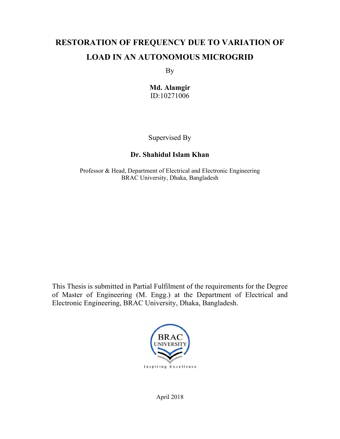# **RESTORATION OF FREQUENCY DUE TO VARIATION OF LOAD IN AN AUTONOMOUS MICROGRID**

By

**Md. Alamgir**  ID:10271006

Supervised By

# **Dr. Shahidul Islam Khan**

Professor & Head, Department of Electrical and Electronic Engineering BRAC University, Dhaka, Bangladesh

This Thesis is submitted in Partial Fulfilment of the requirements for the Degree of Master of Engineering (M. Engg.) at the Department of Electrical and Electronic Engineering, BRAC University, Dhaka, Bangladesh.



April 2018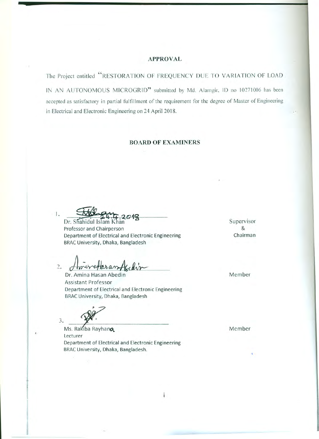#### **APPROVAL**

The Project entitled "RESTORATION OF FREQUENCY DUE TO VARIATION OF LOAD

IN AN AUTONOMOUS MICROGRID" submitted by Md. Alamgir, ID no 10271006 has been accepted as satisfactory in partial fulfillment of the requirement for the degree of Master of Engineering in Electrical and Electronic Engineering on 24 April 2018.

### **BOARD OF EXAMINERS**

 $\mathbf{1}$ . Dr. Shahidul Islam I

Professor and Chairperson Department of Electrical and Electronic Engineering BRAC University, Dhaka, Bangladesh

 $2.$ 

Dr. Amina Hasan Abedin **Assistant Professor** Department of Electrical and Electronic Engineering BRAC University, Dhaka, Bangladesh

3.

Ms. Rakiba Rayhana Lecturer Department of Electrical and Electronic Engineering BRAC University, Dhaka, Bangladesh.

Supervisor & Chairman

Member

Member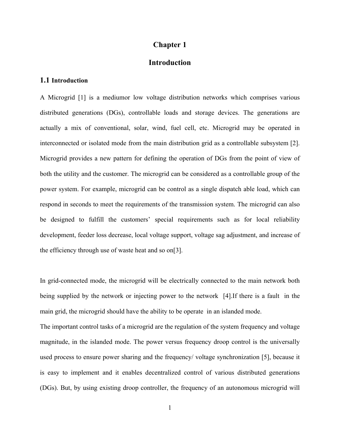### **Chapter 1**

# **Introduction**

#### **1.1 Introduction**

A Microgrid [1] is a mediumor low voltage distribution networks which comprises various distributed generations (DGs), controllable loads and storage devices. The generations are actually a mix of conventional, solar, wind, fuel cell, etc. Microgrid may be operated in interconnected or isolated mode from the main distribution grid as a controllable subsystem [2]. Microgrid provides a new pattern for defining the operation of DGs from the point of view of both the utility and the customer. The microgrid can be considered as a controllable group of the power system. For example, microgrid can be control as a single dispatch able load, which can respond in seconds to meet the requirements of the transmission system. The microgrid can also be designed to fulfill the customers' special requirements such as for local reliability development, feeder loss decrease, local voltage support, voltage sag adjustment, and increase of the efficiency through use of waste heat and so on[3].

In grid-connected mode, the microgrid will be electrically connected to the main network both being supplied by the network or injecting power to the network [4].If there is a fault in the main grid, the microgrid should have the ability to be operate in an islanded mode.

The important control tasks of a microgrid are the regulation of the system frequency and voltage magnitude, in the islanded mode. The power versus frequency droop control is the universally used process to ensure power sharing and the frequency/ voltage synchronization [5], because it is easy to implement and it enables decentralized control of various distributed generations (DGs). But, by using existing droop controller, the frequency of an autonomous microgrid will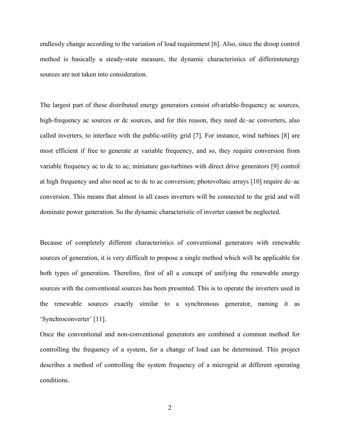endlessly change according to the variation of load requirement [6]. Also, since the droop control method is basically a steady-state measure, the dynamic characteristics of differentenergy sources are not taken into consideration.

The largest part of these distributed energy generators consist ofvariable-frequency ac sources, high-frequency ac sources or dc sources, and for this reason, they need dc–ac converters, also called inverters, to interface with the public-utility grid [7]. For instance, wind turbines [8] are most efficient if free to generate at variable frequency, and so, they require conversion from variable frequency ac to dc to ac; miniature gas-turbines with direct drive generators [9] control at high frequency and also need ac to dc to ac conversion; photovoltaic arrays [10] require dc–ac conversion. This means that almost in all cases inverters will be connected to the grid and will dominate power generation. So the dynamic characteristic of inverter cannot be neglected.

Because of completely different characteristics of conventional generators with renewable sources of generation, it is very difficult to propose a single method which will be applicable for both types of generation. Therefore, first of all a concept of unifying the renewable energy sources with the conventional sources has been presented. This is to operate the inverters used in the renewable sources exactly similar to a synchronous generator, naming it as 'Synchroconverter' [11].

Once the conventional and non-conventional generators are combined a common method for controlling the frequency of a system, for a change of load can be determined. This project describes a method of controlling the system frequency of a microgrid at different operating conditions.

2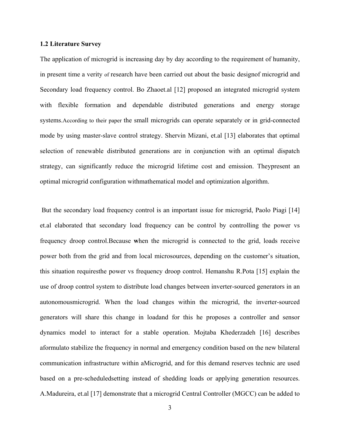#### **1.2 Literature Survey**

The application of microgrid is increasing day by day according to the requirement of humanity, in present time a verity of research have been carried out about the basic designof microgrid and Secondary load frequency control. Bo Zhaoet.al [12] proposed an integrated microgrid system with flexible formation and dependable distributed generations and energy storage systems.According to their paper the small microgrids can operate separately or in grid-connected mode by using master-slave control strategy. Shervin Mizani, et.al [13] elaborates that optimal selection of renewable distributed generations are in conjunction with an optimal dispatch strategy, can significantly reduce the microgrid lifetime cost and emission. Theypresent an optimal microgrid configuration withmathematical model and optimization algorithm.

 But the secondary load frequency control is an important issue for microgrid, Paolo Piagi [14] et.al elaborated that secondary load frequency can be control by controlling the power vs frequency droop control.Because **w**hen the microgrid is connected to the grid, loads receive power both from the grid and from local microsources, depending on the customer's situation, this situation requiresthe power vs frequency droop control. Hemanshu R.Pota [15] explain the use of droop control system to distribute load changes between inverter-sourced generators in an autonomousmicrogrid. When the load changes within the microgrid, the inverter-sourced generators will share this change in loadand for this he proposes a controller and sensor dynamics model to interact for a stable operation. Mojtaba Khederzadeh [16] describes aformulato stabilize the frequency in normal and emergency condition based on the new bilateral communication infrastructure within aMicrogrid, and for this demand reserves technic are used based on a pre-scheduledsetting instead of shedding loads or applying generation resources. A.Madureira, et.al [17] demonstrate that a microgrid Central Controller (MGCC) can be added to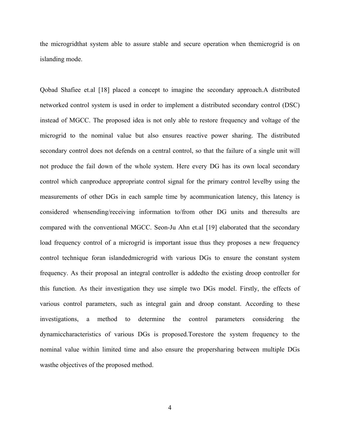the microgridthat system able to assure stable and secure operation when themicrogrid is on islanding mode.

Qobad Shafiee et.al [18] placed a concept to imagine the secondary approach.A distributed networked control system is used in order to implement a distributed secondary control (DSC) instead of MGCC. The proposed idea is not only able to restore frequency and voltage of the microgrid to the nominal value but also ensures reactive power sharing. The distributed secondary control does not defends on a central control, so that the failure of a single unit will not produce the fail down of the whole system. Here every DG has its own local secondary control which canproduce appropriate control signal for the primary control levelby using the measurements of other DGs in each sample time by acommunication latency, this latency is considered whensending/receiving information to/from other DG units and theresults are compared with the conventional MGCC. Seon-Ju Ahn et.al [19] elaborated that the secondary load frequency control of a microgrid is important issue thus they proposes a new frequency control technique foran islandedmicrogrid with various DGs to ensure the constant system frequency. As their proposal an integral controller is addedto the existing droop controller for this function. As their investigation they use simple two DGs model. Firstly, the effects of various control parameters, such as integral gain and droop constant. According to these investigations, a method to determine the control parameters considering the dynamiccharacteristics of various DGs is proposed.Torestore the system frequency to the nominal value within limited time and also ensure the propersharing between multiple DGs wasthe objectives of the proposed method.

4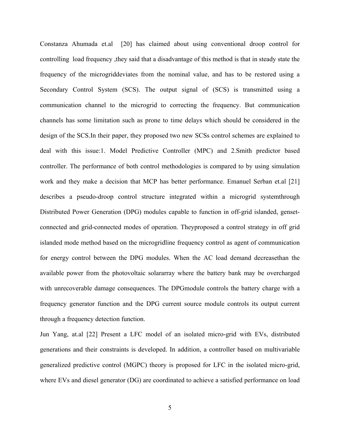Constanza Ahumada et.al [20] has claimed about using conventional droop control for controlling load frequency ,they said that a disadvantage of this method is that in steady state the frequency of the microgriddeviates from the nominal value, and has to be restored using a Secondary Control System (SCS). The output signal of (SCS) is transmitted using a communication channel to the microgrid to correcting the frequency. But communication channels has some limitation such as prone to time delays which should be considered in the design of the SCS.In their paper, they proposed two new SCSs control schemes are explained to deal with this issue:1. Model Predictive Controller (MPC) and 2.Smith predictor based controller. The performance of both control methodologies is compared to by using simulation work and they make a decision that MCP has better performance. Emanuel Serban et.al [21] describes a pseudo-droop control structure integrated within a microgrid systemthrough Distributed Power Generation (DPG) modules capable to function in off-grid islanded, gensetconnected and grid-connected modes of operation. Theyproposed a control strategy in off grid islanded mode method based on the microgridline frequency control as agent of communication for energy control between the DPG modules. When the AC load demand decreasethan the available power from the photovoltaic solararray where the battery bank may be overcharged with unrecoverable damage consequences. The DPGmodule controls the battery charge with a frequency generator function and the DPG current source module controls its output current through a frequency detection function.

Jun Yang, at.al [22] Present a LFC model of an isolated micro-grid with EVs, distributed generations and their constraints is developed. In addition, a controller based on multivariable generalized predictive control (MGPC) theory is proposed for LFC in the isolated micro-grid, where EVs and diesel generator (DG) are coordinated to achieve a satisfied performance on load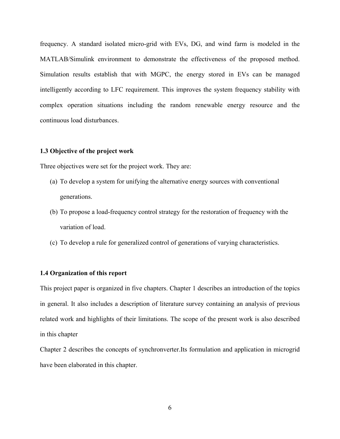frequency. A standard isolated micro-grid with EVs, DG, and wind farm is modeled in the MATLAB/Simulink environment to demonstrate the effectiveness of the proposed method. Simulation results establish that with MGPC, the energy stored in EVs can be managed intelligently according to LFC requirement. This improves the system frequency stability with complex operation situations including the random renewable energy resource and the continuous load disturbances.

### **1.3 Objective of the project work**

Three objectives were set for the project work. They are:

- (a) To develop a system for unifying the alternative energy sources with conventional generations.
- (b) To propose a load-frequency control strategy for the restoration of frequency with the variation of load.
- (c) To develop a rule for generalized control of generations of varying characteristics.

#### **1.4 Organization of this report**

This project paper is organized in five chapters. Chapter 1 describes an introduction of the topics in general. It also includes a description of literature survey containing an analysis of previous related work and highlights of their limitations. The scope of the present work is also described in this chapter

Chapter 2 describes the concepts of synchronverter.Its formulation and application in microgrid have been elaborated in this chapter.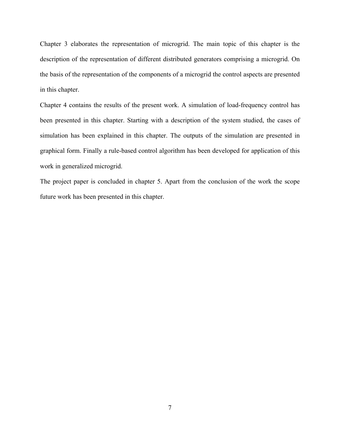Chapter 3 elaborates the representation of microgrid. The main topic of this chapter is the description of the representation of different distributed generators comprising a microgrid. On the basis of the representation of the components of a microgrid the control aspects are presented in this chapter.

Chapter 4 contains the results of the present work. A simulation of load-frequency control has been presented in this chapter. Starting with a description of the system studied, the cases of simulation has been explained in this chapter. The outputs of the simulation are presented in graphical form. Finally a rule-based control algorithm has been developed for application of this work in generalized microgrid.

The project paper is concluded in chapter 5. Apart from the conclusion of the work the scope future work has been presented in this chapter.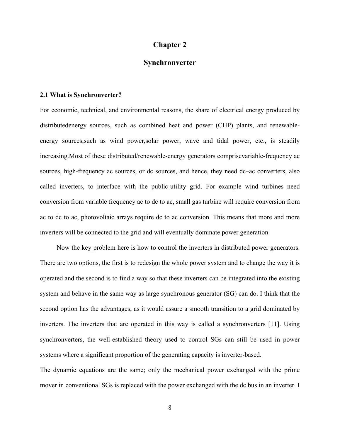### **Chapter 2**

# **Synchronverter**

#### **2.1 What is Synchronverter?**

For economic, technical, and environmental reasons, the share of electrical energy produced by distributedenergy sources, such as combined heat and power (CHP) plants, and renewableenergy sources, such as wind power, solar power, wave and tidal power, etc., is steadily increasing.Most of these distributed/renewable-energy generators comprisevariable-frequency ac sources, high-frequency ac sources, or dc sources, and hence, they need dc–ac converters, also called inverters, to interface with the public-utility grid. For example wind turbines need conversion from variable frequency ac to dc to ac, small gas turbine will require conversion from ac to dc to ac, photovoltaic arrays require dc to ac conversion. This means that more and more inverters will be connected to the grid and will eventually dominate power generation.

 Now the key problem here is how to control the inverters in distributed power generators. There are two options, the first is to redesign the whole power system and to change the way it is operated and the second is to find a way so that these inverters can be integrated into the existing system and behave in the same way as large synchronous generator (SG) can do. I think that the second option has the advantages, as it would assure a smooth transition to a grid dominated by inverters. The inverters that are operated in this way is called a synchronverters [11]. Using synchronverters, the well-established theory used to control SGs can still be used in power systems where a significant proportion of the generating capacity is inverter-based.

The dynamic equations are the same; only the mechanical power exchanged with the prime mover in conventional SGs is replaced with the power exchanged with the dc bus in an inverter. I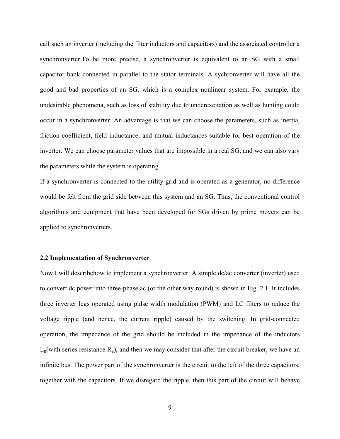call such an inverter (including the filter inductors and capacitors) and the associated controller a synchronverter.To be more precise, a synchronverter is equivalent to an SG with a small capacitor bank connected in parallel to the stator terminals. A sychronverter will have all the good and bad properties of an SG, which is a complex nonlinear system. For example, the undesirable phenomena, such as loss of stability due to underexcitation as well as hunting could occur in a synchronverter. An advantage is that we can choose the parameters, such as inertia, friction coefficient, field inductance, and mutual inductances suitable for best operation of the inverter. We can choose parameter values that are impossible in a real SG, and we can also vary the parameters while the system is operating.

If a synchronverter is connected to the utility grid and is operated as a generator, no difference would be felt from the grid side between this system and an SG. Thus, the conventional control algorithms and equipment that have been developed for SGs driven by prime movers can be applied to synchronverters.

#### **2.2 Implementation of Synchronverter**

Now I will describehow to implement a synchronverter. A simple dc/ac converter (inverter) used to convert dc power into three-phase ac (or the other way round) is shown in Fig. 2.1. It includes three inverter legs operated using pulse width modulation (PWM) and LC filters to reduce the voltage ripple (and hence, the current ripple) caused by the switching. In grid-connected operation, the impedance of the grid should be included in the impedance of the inductors  $L_g$ (with series resistance  $R_g$ ), and then we may consider that after the circuit breaker, we have an infinite bus. The power part of the synchronverter is the circuit to the left of the three capacitors, together with the capacitors. If we disregard the ripple, then this part of the circuit will behave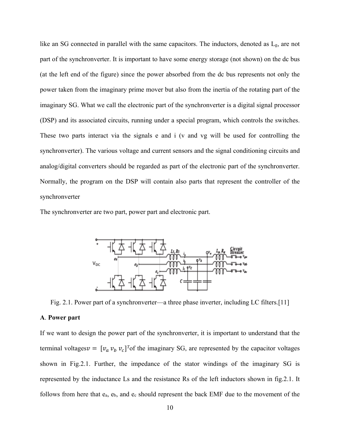like an SG connected in parallel with the same capacitors. The inductors, denoted as Lg, are not part of the synchronverter. It is important to have some energy storage (not shown) on the dc bus (at the left end of the figure) since the power absorbed from the dc bus represents not only the power taken from the imaginary prime mover but also from the inertia of the rotating part of the imaginary SG. What we call the electronic part of the synchronverter is a digital signal processor (DSP) and its associated circuits, running under a special program, which controls the switches. These two parts interact via the signals e and i (v and vg will be used for controlling the synchronverter). The various voltage and current sensors and the signal conditioning circuits and analog/digital converters should be regarded as part of the electronic part of the synchronverter. Normally, the program on the DSP will contain also parts that represent the controller of the synchronverter

The synchronverter are two part, power part and electronic part.



Fig. 2.1. Power part of a synchronverter—a three phase inverter, including LC filters.[11]

#### **A**. **Power part**

If we want to design the power part of the synchronverter, it is important to understand that the terminal voltages  $v = [v_a v_b v_c]^T$  of the imaginary SG, are represented by the capacitor voltages shown in Fig.2.1. Further, the impedance of the stator windings of the imaginary SG is represented by the inductance Ls and the resistance Rs of the left inductors shown in fig.2.1. It follows from here that ea, eb, and ec should represent the back EMF due to the movement of the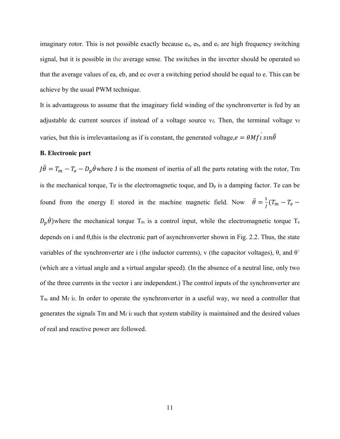imaginary rotor. This is not possible exactly because  $e_a$ ,  $e_b$ , and  $e_c$  are high frequency switching signal, but it is possible in the average sense. The switches in the inverter should be operated so that the average values of ea, eb, and ec over a switching period should be equal to e. This can be achieve by the usual PWM technique.

It is advantageous to assume that the imaginary field winding of the synchronverter is fed by an adjustable dc current sources if instead of a voltage source vf. Then, the terminal voltage vf varies, but this is irrelevantaslong as if is constant, the generated voltage,  $e = \theta M f i \sin \theta$ 

#### **B. Electronic part**

 $J\ddot{\theta} = T_m - T_e - D_p \dot{\theta}$  where J is the moment of inertia of all the parts rotating with the rotor, Tm is the mechanical torque, Te is the electromagnetic toque, and  $D_p$  is a damping factor. Te can be found from the energy E stored in the machine magnetic field. Now  $\ddot{\theta} = \frac{1}{J}(T_m - T_e - T_e)$  $D_p \dot{\theta}$ ) where the mechanical torque T<sub>m</sub> is a control input, while the electromagnetic torque T<sub>e</sub> depends on i and θ,this is the electronic part of asynchronverter shown in Fig. 2.2. Thus, the state variables of the synchronverter are i (the inductor currents), v (the capacitor voltages),  $\theta$ , and  $\theta$ (which are a virtual angle and a virtual angular speed). (In the absence of a neutral line, only two of the three currents in the vector i are independent.) The control inputs of the synchronverter are  $T<sub>m</sub>$  and M<sub>f</sub> i<sub>f</sub>. In order to operate the synchronverter in a useful way, we need a controller that generates the signals Tm and Mf if such that system stability is maintained and the desired values of real and reactive power are followed.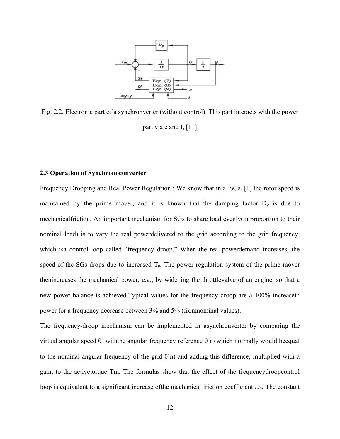

Fig. 2.2. Electronic part of a synchronverter (without control). This part interacts with the power part via e and I, [11]

#### **2.3 Operation of Synchronoconverter**

Frequency Drooping and Real Power Regulation : We know that in a SGs, [1] the rotor speed is maintained by the prime mover, and it is known that the damping factor  $D_p$  is due to mechanicalfriction. An important mechanism for SGs to share load evenly(in proportion to their nominal load) is to vary the real powerdelivered to the grid according to the grid frequency, which isa control loop called "frequency droop." When the real-powerdemand increases, the speed of the SGs drops due to increased Te. The power regulation system of the prime mover thenincreases the mechanical power, e.g., by widening the throttlevalve of an engine, so that a new power balance is achieved.Typical values for the frequency droop are a 100% increasein power for a frequency decrease between 3% and 5% (fromnominal values).

The frequency-droop mechanism can be implemented in asynchronverter by comparing the virtual angular speed θ˙ withthe angular frequency reference θ˙r (which normally would beequal to the nominal angular frequency of the grid  $\theta$  n) and adding this difference, multiplied with a gain, to the activetorque Tm. The formulas show that the effect of the frequencydroopcontrol loop is equivalent to a significant increase ofthe mechanical friction coefficient *D*p. The constant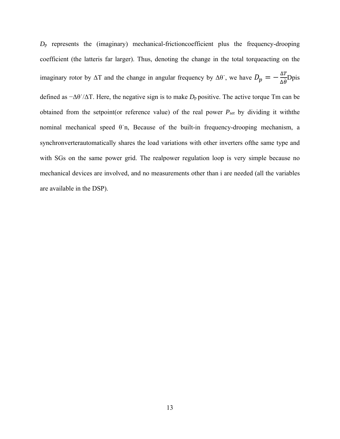*D*p represents the (imaginary) mechanical-frictioncoefficient plus the frequency-drooping coefficient (the latteris far larger). Thus, denoting the change in the total torqueacting on the imaginary rotor by  $\Delta T$  and the change in angular frequency by  $\Delta \theta$ , we have  $D_p = -\frac{\Delta T}{\Delta \dot{\theta}}$ Dpis defined as −Δθ˙/ΔT. Here, the negative sign is to make *D*p positive. The active torque Tm can be obtained from the setpoint(or reference value) of the real power *Pset* by dividing it withthe nominal mechanical speed θ˙n, Because of the built-in frequency-drooping mechanism, a synchronverterautomatically shares the load variations with other inverters ofthe same type and with SGs on the same power grid. The realpower regulation loop is very simple because no mechanical devices are involved, and no measurements other than i are needed (all the variables are available in the DSP).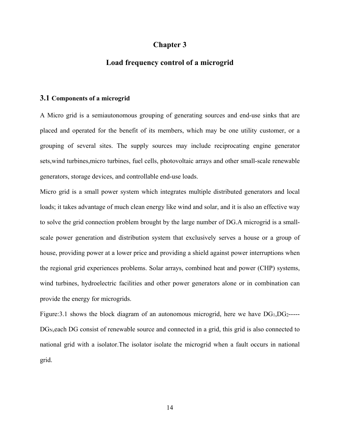# **Chapter 3**

# **Load frequency control of a microgrid**

#### **3.1 Components of a microgrid**

A Micro grid is a semiautonomous grouping of generating sources and end-use sinks that are placed and operated for the benefit of its members, which may be one utility customer, or a grouping of several sites. The supply sources may include reciprocating engine generator sets,wind turbines,micro turbines, fuel cells, photovoltaic arrays and other small-scale renewable generators, storage devices, and controllable end-use loads.

Micro grid is a small power system which integrates multiple distributed generators and local loads; it takes advantage of much clean energy like wind and solar, and it is also an effective way to solve the grid connection problem brought by the large number of DG.A microgrid is a smallscale power generation and distribution system that exclusively serves a house or a group of house, providing power at a lower price and providing a shield against power interruptions when the regional grid experiences problems. Solar arrays, combined heat and power (CHP) systems, wind turbines, hydroelectric facilities and other power generators alone or in combination can provide the energy for microgrids.

Figure:3.1 shows the block diagram of an autonomous microgrid, here we have  $DG_1, DG_2$ -----DG<sub>N</sub>, each DG consist of renewable source and connected in a grid, this grid is also connected to national grid with a isolator.The isolator isolate the microgrid when a fault occurs in national grid.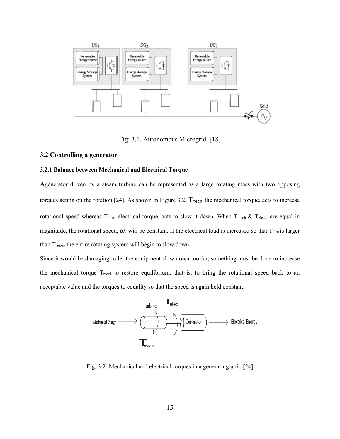

Fig: 3.1. Autonomous Microgrid. [18]

#### **3.2 Controlling a generator**

#### **3.2.1 Balance between Mechanical and Electrical Torque**

Agenerator driven by a steam turbine can be represented as a large rotating mass with two opposing torques acting on the rotation [24]. As shown in Figure 3.2,  $T_{\text{mech}}$  the mechanical torque, acts to increase rotational speed whereas T<sub>elec</sub>, electrical torque, acts to slow it down. When T<sub>mech</sub> & T<sub>elec</sub>,, are equal in magnitude, the rotational speed, *ω*, will be constant. If the electrical load is increased so that T<sub>elec</sub> is larger than T mech the entire rotating system will begin to slow down.

Since it would be damaging to let the equipment slow down too far, something must be done to increase the mechanical torque T<sub>mech</sub> to restore equilibrium; that is, to bring the rotational speed back to an acceptable value and the torques to equality so that the speed is again held constant.



Fig: 3.2: Mechanical and electrical torques in a generating unit. [24]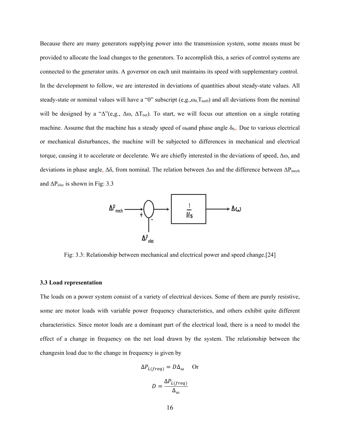Because there are many generators supplying power into the transmission system, some means must be provided to allocate the load changes to the generators. To accomplish this, a series of control systems are connected to the generator units. A governor on each unit maintains its speed with supplementary control. In the development to follow, we are interested in deviations of quantities about steady-state values. All steady-state or nominal values will have a "0" subscript (e,g., $\omega_0$ , $T_{net0}$ ) and all deviations from the nominal will be designed by a " $\Delta$ "(e,g.,  $\Delta\omega$ ,  $\Delta T_{net}$ ). To start, we will focus our attention on a single rotating machine. Assume that the machine has a steady speed of  $\omega_0$  and phase angle  $\delta_0$ . Due to various electrical or mechanical disturbances, the machine will be subjected to differences in mechanical and electrical torque, causing it to accelerate or decelerate. We are chiefly interested in the deviations of speed, Δω, and deviations in phase angle,  $\Delta \delta$ , from nominal. The relation between  $\Delta \omega$  and the difference between  $\Delta P_{\text{mech}}$ and  $\Delta P_{elec}$  is shown in Fig: 3.3



Fig: 3.3: Relationship between mechanical and electrical power and speed change.[24]

#### **3.3 Load representation**

The loads on a power system consist of a variety of electrical devices. Some of them are purely resistive, some are motor loads with variable power frequency characteristics, and others exhibit quite different characteristics. Since motor loads are a dominant part of the electrical load, there is a need to model the effect of a change in frequency on the net load drawn by the system. The relationship between the changesin load due to the change in frequency is given by

$$
\Delta P_{L(freq)} = D\Delta_{\omega} \quad \text{Or}
$$

$$
D = \frac{\Delta P_{L(freq)}}{\Delta_{\omega}}
$$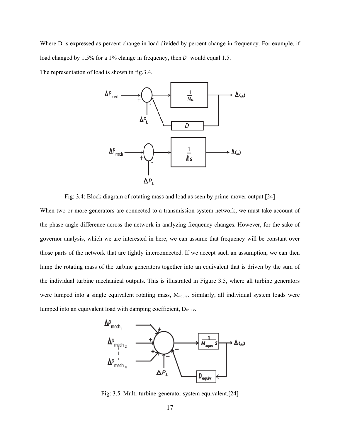Where D is expressed as percent change in load divided by percent change in frequency. For example, if load changed by 1.5% for a 1% change in frequency, then *D* would equal 1.5.

The representation of load is shown in fig.3.4.



Fig: 3.4: Block diagram of rotating mass and load as seen by prime-mover output.[24]

When two or more generators are connected to a transmission system network, we must take account of the phase angle difference across the network in analyzing frequency changes. However, for the sake of governor analysis, which we are interested in here, we can assume that frequency will be constant over those parts of the network that are tightly interconnected. If we accept such an assumption, we can then lump the rotating mass of the turbine generators together into an equivalent that is driven by the sum of the individual turbine mechanical outputs. This is illustrated in Figure 3.5, where all turbine generators were lumped into a single equivalent rotating mass, Mequiv. Similarly, all individual system loads were lumped into an equivalent load with damping coefficient, Dequiv.



Fig: 3.5. Multi-turbine-generator system equivalent.[24]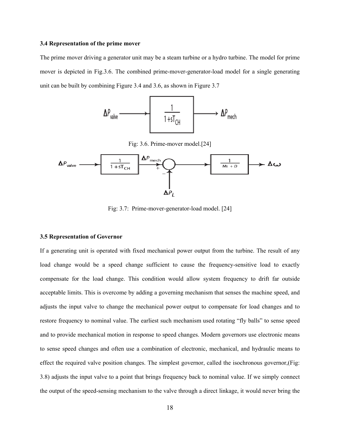#### **3.4 Representation of the prime mover**

The prime mover driving a generator unit may be a steam turbine or a hydro turbine. The model for prime mover is depicted in Fig.3.6. The combined prime-mover-generator-load model for a single generating unit can be built by combining Figure 3.4 and 3.6, as shown in Figure 3.7



Fig: 3.6. Prime-mover model.[24]



Fig: 3.7: Prime-mover-generator-load model. [24]

#### **3.5 Representation of Governor**

If a generating unit is operated with fixed mechanical power output from the turbine. The result of any load change would be a speed change sufficient to cause the frequency-sensitive load to exactly compensate for the load change. This condition would allow system frequency to drift far outside acceptable limits. This is overcome by adding a governing mechanism that senses the machine speed, and adjusts the input valve to change the mechanical power output to compensate for load changes and to restore frequency to nominal value. The earliest such mechanism used rotating "fly balls" to sense speed and to provide mechanical motion in response to speed changes. Modern governors use electronic means to sense speed changes and often use a combination of electronic, mechanical, and hydraulic means to effect the required valve position changes. The simplest governor, called the isochronous governor,(Fig: 3.8) adjusts the input valve to a point that brings frequency back to nominal value. If we simply connect the output of the speed-sensing mechanism to the valve through a direct linkage, it would never bring the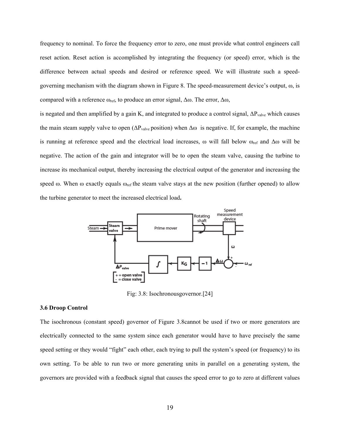frequency to nominal. To force the frequency error to zero, one must provide what control engineers call reset action. Reset action is accomplished by integrating the frequency (or speed) error, which is the difference between actual speeds and desired or reference speed. We will illustrate such a speedgoverning mechanism with the diagram shown in Figure 8. The speed-measurement device's output,  $\omega$ , is compared with a reference  $ω_{ref}$ , to produce an error signal, Δω. The error, Δω,

is negated and then amplified by a gain K, and integrated to produce a control signal,  $\Delta P_{\text{value}}$  which causes the main steam supply valve to open ( $\Delta P_{\text{value}}$  position) when  $\Delta \omega$  is negative. If, for example, the machine is running at reference speed and the electrical load increases, ω will fall below ω<sub>ref</sub> and Δω will be negative. The action of the gain and integrator will be to open the steam valve, causing the turbine to increase its mechanical output, thereby increasing the electrical output of the generator and increasing the speed  $\omega$ . When  $\omega$  exactly equals  $\omega_{ref}$  the steam valve stays at the new position (further opened) to allow the turbine generator to meet the increased electrical load**.**



Fig: 3.8: Isochronousgovernor.[24]

#### **3.6 Droop Control**

The isochronous (constant speed) governor of Figure 3.8cannot be used if two or more generators are electrically connected to the same system since each generator would have to have precisely the same speed setting or they would "fight" each other, each trying to pull the system's speed (or frequency) to its own setting. To be able to run two or more generating units in parallel on a generating system, the governors are provided with a feedback signal that causes the speed error to go to zero at different values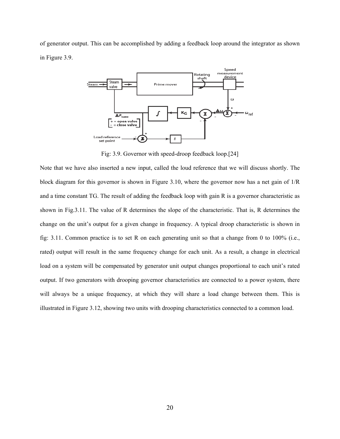of generator output. This can be accomplished by adding a feedback loop around the integrator as shown in Figure 3.9.



Fig: 3.9. Governor with speed-droop feedback loop.[24]

Note that we have also inserted a new input, called the loud reference that we will discuss shortly. The block diagram for this governor is shown in Figure 3.10, where the governor now has a net gain of 1/R and a time constant TG. The result of adding the feedback loop with gain R is a governor characteristic as shown in Fig.3.11. The value of R determines the slope of the characteristic. That is, R determines the change on the unit's output for a given change in frequency. A typical droop characteristic is shown in fig: 3.11. Common practice is to set R on each generating unit so that a change from 0 to 100% (i.e., rated) output will result in the same frequency change for each unit. As a result, a change in electrical load on a system will be compensated by generator unit output changes proportional to each unit's rated output. If two generators with drooping governor characteristics are connected to a power system, there will always be a unique frequency, at which they will share a load change between them. This is illustrated in Figure 3.12, showing two units with drooping characteristics connected to a common load.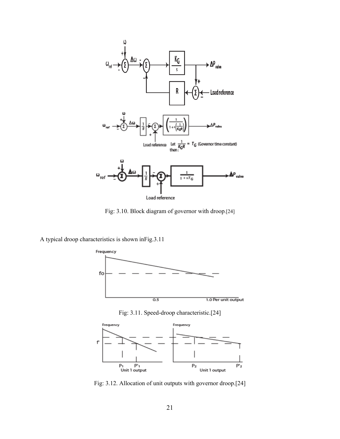

Fig: 3.10. Block diagram of governor with droop.[24]

A typical droop characteristics is shown inFig.3.11



Fig: 3.11. Speed-droop characteristic.[24]



Fig: 3.12. Allocation of unit outputs with governor droop.[24]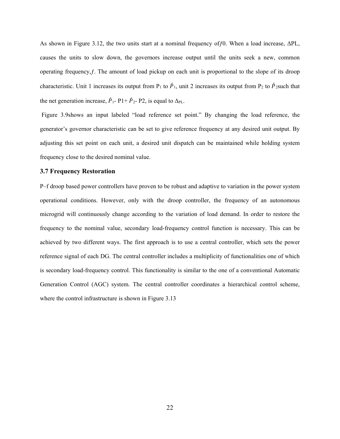As shown in Figure 3.12, the two units start at a nominal frequency ofƒ0. When a load increase, ΔPL, causes the units to slow down, the governors increase output until the units seek a new, common operating frequency,ƒ. The amount of load pickup on each unit is proportional to the slope of its droop characteristic. Unit 1 increases its output from P<sub>1</sub> to  $\hat{P}_1$ , unit 2 increases its output from P<sub>2</sub> to  $\hat{P}_2$ such that the net generation increase,  $\hat{P}_1$ - P1+  $\hat{P}_2$ - P2, is equal to  $\Delta_{PL}$ .

 Figure 3.9shows an input labeled "load reference set point." By changing the load reference, the generator's governor characteristic can be set to give reference frequency at any desired unit output. By adjusting this set point on each unit, a desired unit dispatch can be maintained while holding system frequency close to the desired nominal value.

#### **3.7 Frequency Restoration**

P–f droop based power controllers have proven to be robust and adaptive to variation in the power system operational conditions. However, only with the droop controller, the frequency of an autonomous microgrid will continuously change according to the variation of load demand. In order to restore the frequency to the nominal value, secondary load-frequency control function is necessary. This can be achieved by two different ways. The first approach is to use a central controller, which sets the power reference signal of each DG. The central controller includes a multiplicity of functionalities one of which is secondary load-frequency control. This functionality is similar to the one of a conventional Automatic Generation Control (AGC) system. The central controller coordinates a hierarchical control scheme, where the control infrastructure is shown in Figure 3.13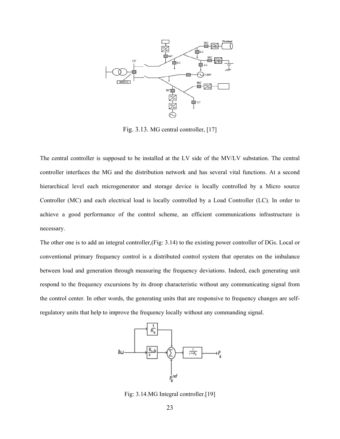

Fig. 3.13. MG central controller, [17]

The central controller is supposed to be installed at the LV side of the MV/LV substation. The central controller interfaces the MG and the distribution network and has several vital functions. At a second hierarchical level each microgenerator and storage device is locally controlled by a Micro source Controller (MC) and each electrical load is locally controlled by a Load Controller (LC). In order to achieve a good performance of the control scheme, an efficient communications infrastructure is necessary.

The other one is to add an integral controller,(Fig: 3.14) to the existing power controller of DGs. Local or conventional primary frequency control is a distributed control system that operates on the imbalance between load and generation through measuring the frequency deviations. Indeed, each generating unit respond to the frequency excursions by its droop characteristic without any communicating signal from the control center. In other words, the generating units that are responsive to frequency changes are selfregulatory units that help to improve the frequency locally without any commanding signal.



Fig: 3.14.MG Integral controller.[19]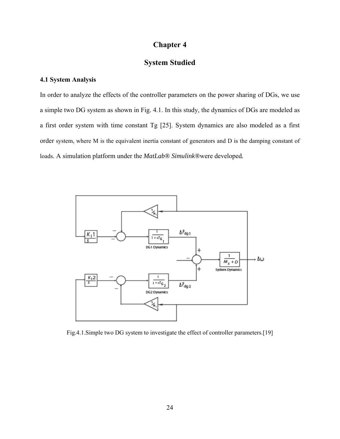# **Chapter 4**

# **System Studied**

### **4.1 System Analysis**

In order to analyze the effects of the controller parameters on the power sharing of DGs, we use a simple two DG system as shown in Fig. 4.1. In this study, the dynamics of DGs are modeled as a first order system with time constant Tg [25]. System dynamics are also modeled as a first order system, where M is the equivalent inertia constant of generators and D is the damping constant of loads. A simulation platform under the *MatLab® Simulink®*were developed*.*



Fig.4.1.Simple two DG system to investigate the effect of controller parameters.[19]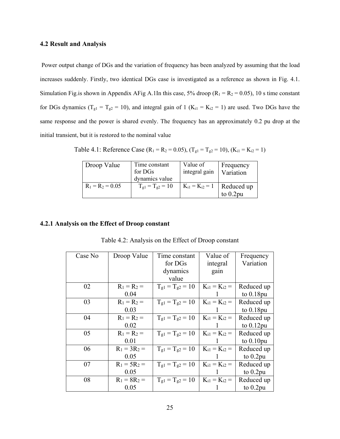#### **4.2 Result and Analysis**

 Power output change of DGs and the variation of frequency has been analyzed by assuming that the load increases suddenly. Firstly, two identical DGs case is investigated as a reference as shown in Fig. 4.1. Simulation Fig.is shown in Appendix AFig A.1In this case, 5% droop ( $R_1 = R_2 = 0.05$ ), 10 s time constant for DGs dynamics ( $T_{gl} = T_{g2} = 10$ ), and integral gain of 1 ( $K_{i1} = K_{i2} = 1$ ) are used. Two DGs have the same response and the power is shared evenly. The frequency has an approximately 0.2 pu drop at the initial transient, but it is restored to the nominal value

# Table 4.1: Reference Case ( $R_1 = R_2 = 0.05$ ), ( $T_{g1} = T_{g2} = 10$ ), ( $K_{i1} = K_{i2} = 1$ )

| Droop Value        | Time constant<br>for DGs<br>dynamics value | Value of<br>integral gain        | Frequency<br>Variation |
|--------------------|--------------------------------------------|----------------------------------|------------------------|
| $R_1 = R_2 = 0.05$ | $T_{\text{gl}} = T_{\text{g2}} = 10$       | $K_{i1} = K_{i2} = 1$ Reduced up | to $0.2$ pu            |

#### **4.2.1 Analysis on the Effect of Droop constant**

|  | Table 4.2: Analysis on the Effect of Droop constant |  |
|--|-----------------------------------------------------|--|
|--|-----------------------------------------------------|--|

| Case No | Droop Value    | Time constant          | Value of            | Frequency    |
|---------|----------------|------------------------|---------------------|--------------|
|         |                | for DGs                | integral            | Variation    |
|         |                | dynamics               | gain                |              |
|         |                | value                  |                     |              |
| 02      | $R_1 = R_2 =$  | $T_{g1} = T_{g2} = 10$ | $K_{i1} = K_{i2} =$ | Reduced up   |
|         | 0.04           |                        |                     | to $0.18$ pu |
| 03      | $R_1 = R_2 =$  | $T_{g1} = T_{g2} = 10$ | $K_{i1} = K_{i2} =$ | Reduced up   |
|         | 0.03           |                        |                     | to $0.18$ pu |
| 04      | $R_1 = R_2 =$  | $T_{g1} = T_{g2} = 10$ | $K_{i1} = K_{i2} =$ | Reduced up   |
|         | 0.02           |                        |                     | to $0.12$ pu |
| 05      | $R_1 = R_2 =$  | $T_{g1} = T_{g2} = 10$ | $K_{i1} = K_{i2} =$ | Reduced up   |
|         | 0.01           |                        |                     | to $0.10$ pu |
| 06      | $R_1 = 3R_2 =$ | $T_{g1} = T_{g2} = 10$ | $K_{i1} = K_{i2} =$ | Reduced up   |
|         | 0.05           |                        |                     | to $0.2$ pu  |
| 07      | $R_1 = 5R_2 =$ | $T_{g1} = T_{g2} = 10$ | $K_{i1} = K_{i2} =$ | Reduced up   |
|         | 0.05           |                        |                     | to $0.2$ pu  |
| 08      | $R_1 = 8R_2 =$ | $T_{g1} = T_{g2} = 10$ | $K_{i1} = K_{i2} =$ | Reduced up   |
|         | 0.05           |                        |                     | to $0.2$ pu  |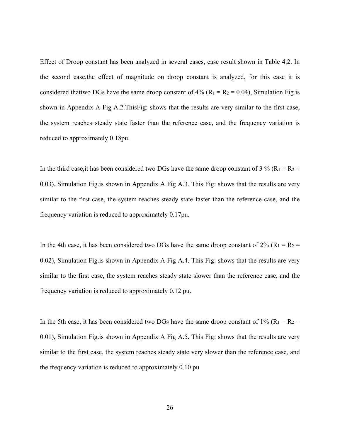Effect of Droop constant has been analyzed in several cases, case result shown in Table 4.2. In the second case,the effect of magnitude on droop constant is analyzed, for this case it is considered thattwo DGs have the same droop constant of  $4\%$  (R<sub>1</sub> = R<sub>2</sub> = 0.04), Simulation Fig. is shown in Appendix A Fig A.2.ThisFig: shows that the results are very similar to the first case, the system reaches steady state faster than the reference case, and the frequency variation is reduced to approximately 0.18pu.

In the third case, it has been considered two DGs have the same droop constant of 3 % ( $R_1 = R_2 =$ 0.03), Simulation Fig.is shown in Appendix A Fig A.3. This Fig: shows that the results are very similar to the first case, the system reaches steady state faster than the reference case, and the frequency variation is reduced to approximately 0.17pu.

In the 4th case, it has been considered two DGs have the same droop constant of 2% ( $R_1 = R_2 =$ 0.02), Simulation Fig.is shown in Appendix A Fig A.4. This Fig: shows that the results are very similar to the first case, the system reaches steady state slower than the reference case, and the frequency variation is reduced to approximately 0.12 pu.

In the 5th case, it has been considered two DGs have the same droop constant of 1% ( $R_1 = R_2 =$ 0.01), Simulation Fig.is shown in Appendix A Fig A.5. This Fig: shows that the results are very similar to the first case, the system reaches steady state very slower than the reference case, and the frequency variation is reduced to approximately 0.10 pu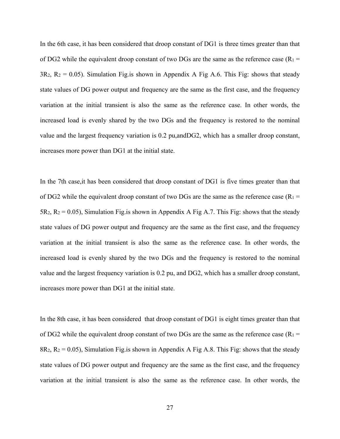In the 6th case, it has been considered that droop constant of DG1 is three times greater than that of DG2 while the equivalent droop constant of two DGs are the same as the reference case ( $R_1$  =  $3R_2$ ,  $R_2 = 0.05$ ). Simulation Fig. is shown in Appendix A Fig A.6. This Fig: shows that steady state values of DG power output and frequency are the same as the first case, and the frequency variation at the initial transient is also the same as the reference case. In other words, the increased load is evenly shared by the two DGs and the frequency is restored to the nominal value and the largest frequency variation is 0.2 pu,andDG2, which has a smaller droop constant, increases more power than DG1 at the initial state.

In the 7th case,it has been considered that droop constant of DG1 is five times greater than that of DG2 while the equivalent droop constant of two DGs are the same as the reference case ( $R_1$  =  $5R_2$ ,  $R_2 = 0.05$ ), Simulation Fig. is shown in Appendix A Fig A.7. This Fig: shows that the steady state values of DG power output and frequency are the same as the first case, and the frequency variation at the initial transient is also the same as the reference case. In other words, the increased load is evenly shared by the two DGs and the frequency is restored to the nominal value and the largest frequency variation is 0.2 pu, and DG2, which has a smaller droop constant, increases more power than DG1 at the initial state.

In the 8th case, it has been considered that droop constant of DG1 is eight times greater than that of DG2 while the equivalent droop constant of two DGs are the same as the reference case ( $R_1$  = 8R<sub>2</sub>, R<sub>2</sub> = 0.05), Simulation Fig. is shown in Appendix A Fig A.8. This Fig: shows that the steady state values of DG power output and frequency are the same as the first case, and the frequency variation at the initial transient is also the same as the reference case. In other words, the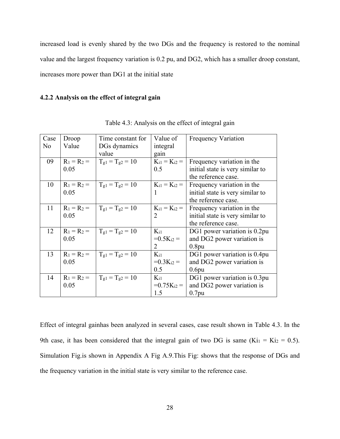increased load is evenly shared by the two DGs and the frequency is restored to the nominal value and the largest frequency variation is 0.2 pu, and DG2, which has a smaller droop constant, increases more power than DG1 at the initial state

### **4.2.2 Analysis on the effect of integral gain**

| Case           | Droop         | Time constant for      | Value of                   | <b>Frequency Variation</b>       |
|----------------|---------------|------------------------|----------------------------|----------------------------------|
| N <sub>o</sub> | Value         | DGs dynamics           | integral                   |                                  |
|                |               | value                  | gain                       |                                  |
| 09             | $R_1 = R_2 =$ | $T_{g1} = T_{g2} = 10$ | $K_{i1} = K_{i2} =$        | Frequency variation in the       |
|                | 0.05          |                        | 0.5                        | initial state is very similar to |
|                |               |                        |                            | the reference case.              |
| 10             | $R_1 = R_2 =$ | $T_{g1} = T_{g2} = 10$ | $K_{i1} = K_{i2} =$        | Frequency variation in the       |
|                | 0.05          |                        | 1                          | initial state is very similar to |
|                |               |                        |                            | the reference case.              |
| 11             | $R_1 = R_2 =$ | $T_{g1} = T_{g2} = 10$ | $K_{i1} = K_{i2} =$        | Frequency variation in the       |
|                | 0.05          |                        | $\overline{2}$             | initial state is very similar to |
|                |               |                        |                            | the reference case.              |
| 12             | $R_1 = R_2 =$ | $T_{g1} = T_{g2} = 10$ | $K_{i1}$                   | DG1 power variation is 0.2pu     |
|                | 0.05          |                        | $=0.5$ K <sub>i2</sub> $=$ | and DG2 power variation is       |
|                |               |                        | 2                          | 0.8 <sub>pu</sub>                |
| 13             | $R_1 = R_2 =$ | $T_{g1} = T_{g2} = 10$ | $K_{i1}$                   | DG1 power variation is 0.4pu     |
|                | 0.05          |                        | $=0.3$ K <sub>i2</sub> =   | and DG2 power variation is       |
|                |               |                        | 0.5                        | 0.6 <sub>pu</sub>                |
| 14             | $R_1 = R_2 =$ | $T_{g1} = T_{g2} = 10$ | $K_{i1}$                   | DG1 power variation is 0.3pu     |
|                | 0.05          |                        | $=0.75$ K <sub>i2</sub> =  | and DG2 power variation is       |
|                |               |                        | 1.5                        | $0.7$ pu                         |

Table 4.3: Analysis on the effect of integral gain

Effect of integral gainhas been analyzed in several cases, case result shown in Table 4.3. In the 9th case, it has been considered that the integral gain of two DG is same  $(Ki_1 = Ki_2 = 0.5)$ . Simulation Fig.is shown in Appendix A Fig A.9.This Fig: shows that the response of DGs and the frequency variation in the initial state is very similar to the reference case.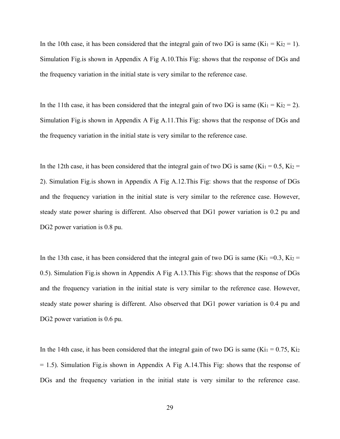In the 10th case, it has been considered that the integral gain of two DG is same ( $Ki<sub>1</sub> = Ki<sub>2</sub> = 1$ ). Simulation Fig.is shown in Appendix A Fig A.10.This Fig: shows that the response of DGs and the frequency variation in the initial state is very similar to the reference case.

In the 11th case, it has been considered that the integral gain of two DG is same (Ki<sub>1</sub> = Ki<sub>2</sub> = 2). Simulation Fig.is shown in Appendix A Fig A.11.This Fig: shows that the response of DGs and the frequency variation in the initial state is very similar to the reference case.

In the 12th case, it has been considered that the integral gain of two DG is same (Ki<sub>1</sub> = 0.5, Ki<sub>2</sub> = 2). Simulation Fig.is shown in Appendix A Fig A.12.This Fig: shows that the response of DGs and the frequency variation in the initial state is very similar to the reference case. However, steady state power sharing is different. Also observed that DG1 power variation is 0.2 pu and DG2 power variation is 0.8 pu.

In the 13th case, it has been considered that the integral gain of two DG is same (Ki<sub>1</sub> = 0.3, Ki<sub>2</sub> = 0.5). Simulation Fig.is shown in Appendix A Fig A.13.This Fig: shows that the response of DGs and the frequency variation in the initial state is very similar to the reference case. However, steady state power sharing is different. Also observed that DG1 power variation is 0.4 pu and DG2 power variation is 0.6 pu.

In the 14th case, it has been considered that the integral gain of two DG is same (Ki<sub>1</sub> = 0.75, Ki<sub>2</sub> = 1.5). Simulation Fig.is shown in Appendix A Fig A.14.This Fig: shows that the response of DGs and the frequency variation in the initial state is very similar to the reference case.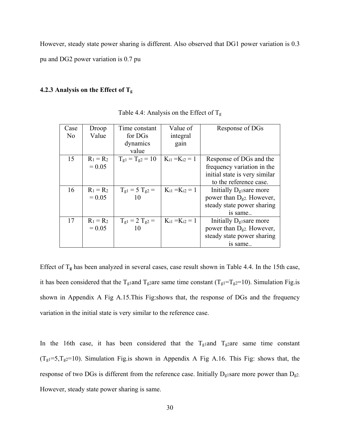However, steady state power sharing is different. Also observed that DG1 power variation is 0.3 pu and DG2 power variation is 0.7 pu

# **4.2.3 Analysis on the Effect of Tg**

| Case | Droop       | Time constant          | Value of              | Response of DGs                       |
|------|-------------|------------------------|-----------------------|---------------------------------------|
| No   | Value       | for DGs                | integral              |                                       |
|      |             | dynamics               | gain                  |                                       |
|      |             | value                  |                       |                                       |
| 15   | $R_1 = R_2$ | $T_{g1} = T_{g2} = 10$ | $K_{i1} = K_{i2} = 1$ | Response of DGs and the               |
|      | $= 0.05$    |                        |                       | frequency variation in the            |
|      |             |                        |                       | initial state is very similar         |
|      |             |                        |                       | to the reference case.                |
| 16   | $R_1 = R_2$ | $T_{g1} = 5 T_{g2} =$  | $K_{i1} = K_{i2} = 1$ | Initially $D_{g1}$ sare more          |
|      | $= 0.05$    | 10                     |                       | power than D <sub>g2</sub> . However, |
|      |             |                        |                       | steady state power sharing            |
|      |             |                        |                       | is same                               |
| 17   | $R_1 = R_2$ | $T_{g1} = 2 T_{g2} =$  | $K_{i1} = K_{i2} = 1$ | Initially $D_{g1}$ sare more          |
|      | $= 0.05$    |                        |                       | power than $D_{g2}$ . However,        |
|      |             |                        |                       | steady state power sharing            |
|      |             |                        |                       | is same                               |

Table 4.4: Analysis on the Effect of  $T_g$ 

Effect of T**g** has been analyzed in several cases, case result shown in Table 4.4. In the 15th case, it has been considered that the T<sub>g1</sub>and T<sub>g2</sub>are same time constant (T<sub>g1</sub>=T<sub>g2</sub>=10). Simulation Fig.is shown in Appendix A Fig A.15.This Fig:shows that, the response of DGs and the frequency variation in the initial state is very similar to the reference case.

In the 16th case, it has been considered that the  $T_{g1}$ and  $T_{g2}$ are same time constant  $(T<sub>g1</sub>=5,T<sub>g2</sub>=10)$ . Simulation Fig.is shown in Appendix A Fig A.16. This Fig: shows that, the response of two DGs is different from the reference case. Initially  $D_{g1}$ sare more power than  $D_{g2}$ . However, steady state power sharing is same.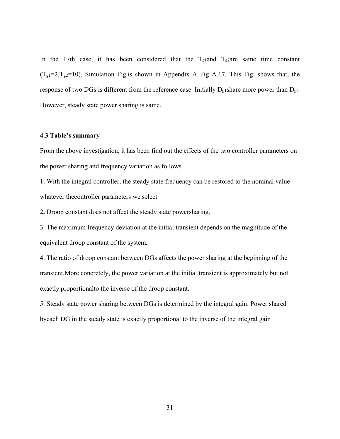In the 17th case, it has been considered that the  $T_{\text{g1}}$  and  $T_{\text{g2}}$  are same time constant  $(T<sub>g1</sub>=2,T<sub>g2</sub>=10)$ . Simulation Fig. is shown in Appendix A Fig A.17. This Fig: shows that, the response of two DGs is different from the reference case. Initially  $D_{g1}$ share more power than  $D_{g2}$ . However, steady state power sharing is same.

#### **4.3 Table's summary**

From the above investigation, it has been find out the effects of the two controller parameters on the power sharing and frequency variation as follows.

1**.** With the integral controller, the steady state frequency can be restored to the nominal value whatever thecontroller parameters we select.

2**.** Droop constant does not affect the steady state powersharing.

3. The maximum frequency deviation at the initial transient depends on the magnitude of the equivalent droop constant of the system.

4. The ratio of droop constant between DGs affects the power sharing at the beginning of the transient.More concretely, the power variation at the initial transient is approximately but not exactly proportionalto the inverse of the droop constant.

5. Steady state power sharing between DGs is determined by the integral gain. Power shared byeach DG in the steady state is exactly proportional to the inverse of the integral gain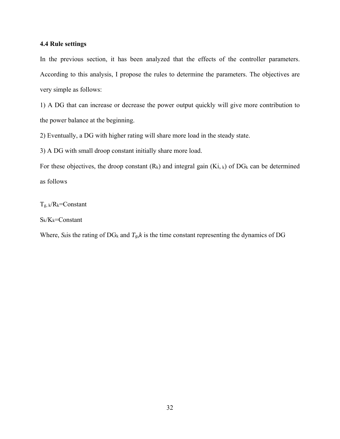#### **4.4 Rule settings**

In the previous section, it has been analyzed that the effects of the controller parameters. According to this analysis, I propose the rules to determine the parameters. The objectives are very simple as follows:

1) A DG that can increase or decrease the power output quickly will give more contribution to the power balance at the beginning.

2) Eventually, a DG with higher rating will share more load in the steady state.

3) A DG with small droop constant initially share more load.

For these objectives, the droop constant  $(R_k)$  and integral gain  $(Ki, k)$  of DG<sub>k</sub> can be determined as follows

 $T_g$ , k/ $R_k$ =Constant

 $S_k/K_k=C$ onstant

Where,  $S_k$  is the rating of DG<sub>k</sub> and  $T_g$ , k is the time constant representing the dynamics of DG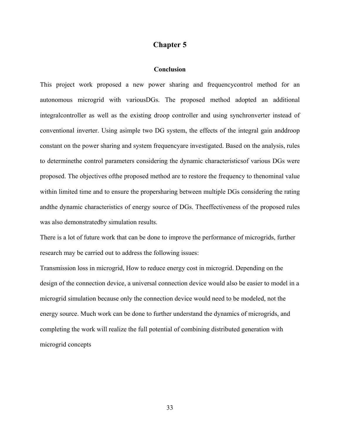# **Chapter 5**

#### **Conclusion**

This project work proposed a new power sharing and frequencycontrol method for an autonomous microgrid with variousDGs. The proposed method adopted an additional integralcontroller as well as the existing droop controller and using synchronverter instead of conventional inverter. Using asimple two DG system, the effects of the integral gain anddroop constant on the power sharing and system frequencyare investigated. Based on the analysis, rules to determinethe control parameters considering the dynamic characteristicsof various DGs were proposed. The objectives ofthe proposed method are to restore the frequency to thenominal value within limited time and to ensure the propersharing between multiple DGs considering the rating andthe dynamic characteristics of energy source of DGs. Theeffectiveness of the proposed rules was also demonstratedby simulation results.

There is a lot of future work that can be done to improve the performance of microgrids, further research may be carried out to address the following issues:

Transmission loss in microgrid, How to reduce energy cost in microgrid. Depending on the design of the connection device, a universal connection device would also be easier to model in a microgrid simulation because only the connection device would need to be modeled, not the energy source. Much work can be done to further understand the dynamics of microgrids, and completing the work will realize the full potential of combining distributed generation with microgrid concepts

33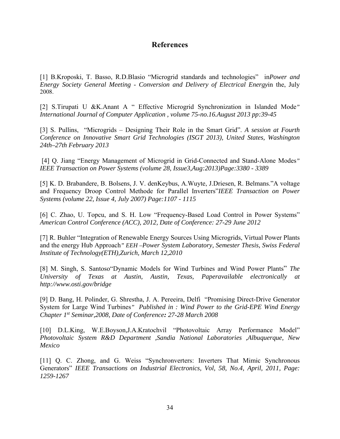# **References**

[1] B.Kroposki, T. Basso, R.D.Blasio "Microgrid standards and technologies" in*Power and Energy Society General Meeting* - *Conversion and Delivery of Electrical Energy*in the, July 2008.

[2] S.Tirupati U &K.Anant A " Effective Microgrid Synchronization in Islanded Mode*" International Journal of Computer Application , volume 75-no.16.August 2013 pp:39-45* 

[3] S. Pullins, "Microgrids – Designing Their Role in the Smart Grid". *A session at Fourth Conference on Innovative Smart Grid Technologies (ISGT 2013), United States, Washington 24th–27th February 2013*

 [4] Q. Jiang "Energy Management of Microgrid in Grid-Connected and Stand-Alone Modes*" IEEE Transaction on Power Systems (volume 28, Issue3,Aug:2013)Page:3380 - 3389* 

[5] K. D. Brabandere, B. Bolsens, J. V. denKeybus, A.Wuyte, J.Driesen, R. Belmans."A voltage and Frequency Droop Control Methode for Parallel Inverters"*IEEE Transaction on Power Systems (volume 22, Issue 4, July 2007) Page:1107 - 1115* 

[6] C. Zhao, U. Topcu, and S. H. Low "Frequency-Based Load Control in Power Systems" *American Control Conference (ACC), 2012, Date of Conference: 27-29 June 2012* 

[7] R. Buhler "Integration of Renewable Energy Sources Using Microgrids, Virtual Power Plants and the energy Hub Approach*" EEH –Power System Laboratory, Semester Thesis, Swiss Federal Institute of Technology(ETH),Zurich, March 12,2010*

[8] M. Singh, S. Santoso"Dynamic Models for Wind Turbines and Wind Power Plants" *The University of Texas at Austin, Austin, Texas, Paperavailable electronically at http://www.osti.gov/bridge*

[9] D. Bang, H. Polinder, G. Shrestha, J. A. Pereeira, Delfi "Promising Direct-Drive Generator System for Large Wind Turbines*" Published in : Wind Power to the Grid-EPE Wind Energy Chapter 1st Seminar,2008, Date of Conference: 27-28 March 2008*

[10] D.L.King, W.E.Boyson,J.A.Kratochvil "Photovoltaic Array Performance Model" *Photovoltaic System R&D Department ,Sandia National Laboratories ,Albuquerque, New Mexico*

[11] Q. C. Zhong, and G. Weiss "Synchronverters: Inverters That Mimic Synchronous Generators" *IEEE Transactions on Industrial Electronics, Vol, 58, No.4, April, 2011, Page: 1259-1267*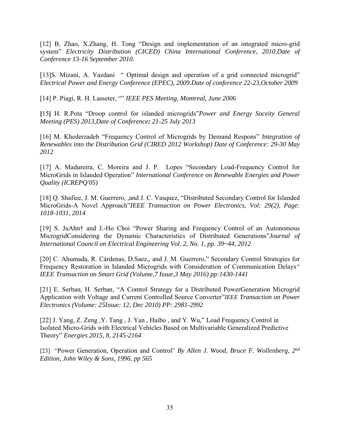[12] B. Zhao, X.Zhang, H. Tong "Design and implementation of an integrated micro-grid system" *Electricity Distribution (CICED) China International Conference, 2010.Date of Conference 13-16 September 2010.*

[13]S. Mizani, A. Yazdani " Optimal design and operation of a grid connected microgrid" *Electrical Power and Energy Conference (EPEC), 2009.Date of conference 22-23,October 2009*

[14] P. Piagi, R. H. Lasseter, "" *IEEE PES Meeting, Montreal, June 2006*

**[**15**]** H. R.Pota "Droop control for islanded microgrids"*Power and Energy Soceity General Meeting (PES) 2013,Date of Conference: 21-25 July 2013*

[16] M. Khederzadeh "Frequency Control of Microgrids by Demand Respons" *Integration of Renewables into the Distribution Grid (CIRED 2012 Workshop) Date of Conference: 29-30 May 2012*

[17] A. Madureira, C. Moreira and J. P. Lopes "Secondary Load-Frequency Control for MicroGrids in Islanded Operation" *International Conference on Renewable Energies and Power Quality (ICREPQ'05)* 

[18] Q. Shafiee, J. M. Guerrero, ,and J. C. Vasquez, "Distributed Secondary Control for Islanded MicroGrids-A Novel Approach"*IEEE Transaction on Power Electronics, Vol: 29(2), Page: 1018-1031, 2014*

[19] S. JuAhn† and J.-Ho Choi "Power Sharing and Frequency Control of an Autonomous MicrogridConsidering the Dynamic Characteristics of Distributed Generations"*Journal of International Council on Electrical Engineering Vol. 2, No. 1, pp. 39~44, 2012* 

[20] C. Ahumada, R. Cárdenas, D.Saez,, and J. M. Guerrero," Secondary Control Strategies for Frequency Restoration in Islanded Microgrids with Consideration of Communication Delays*" IEEE Transaction on Smart Grid (Volume,7 Issue,3 May 2016) pp:1430-1441* 

[21] E. Serban, H. Serban, "A Control Strategy for a Distributed PowerGeneration Microgrid Application with Voltage and Current Controlled Source Converter"*IEEE Transaction on Power Electronics (Volume: 25Issue: 12, Dec 2010) PP: 2981-2992*

[22] J. Yang, Z. Zeng, Y. Tang, J. Yan, Haibo, and Y. Wu," Load Frequency Control in Isolated Micro-Grids with Electrical Vehicles Based on Multivariable Generalized Predictive Theory" *Energies 2015, 8, 2145-2164* 

[23] "Power Generation, Operation and Control" *By Allen J. Wood, Bruce F. Wollenberg, 2nd Edition, John Wiley & Sons, 1996, pp 565*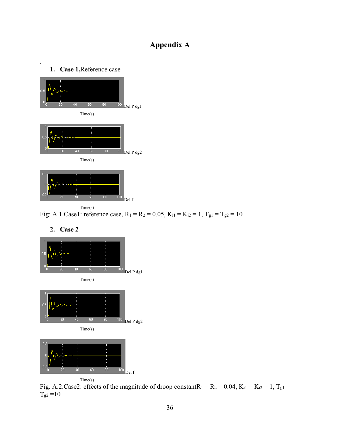# **Appendix A**



.



 Time(s) Fig: A.1.Case1: reference case,  $R_1 = R_2 = 0.05$ ,  $K_{i1} = K_{i2} = 1$ ,  $T_{g1} = T_{g2} = 10$ 



Fig. A.2.Case2: effects of the magnitude of droop constantR<sub>1</sub> = R<sub>2</sub> = 0.04, K<sub>i1</sub> = K<sub>i2</sub> = 1, T<sub>g1</sub> =  $T_{\rm g2}$  =10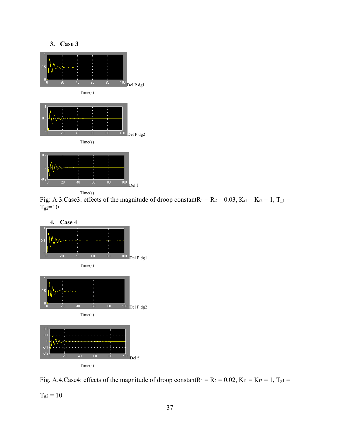

 Time(s) Fig: A.3.Case3: effects of the magnitude of droop constantR<sub>1</sub> = R<sub>2</sub> = 0.03, K<sub>i1</sub> = K<sub>i2</sub> = 1, T<sub>g1</sub> =  $T<sub>g2</sub>=10$ 



Fig. A.4.Case4: effects of the magnitude of droop constantR<sub>1</sub> = R<sub>2</sub> = 0.02, K<sub>i1</sub> = K<sub>i2</sub> = 1, T<sub>g1</sub> =

 $T_{g2}=10\,$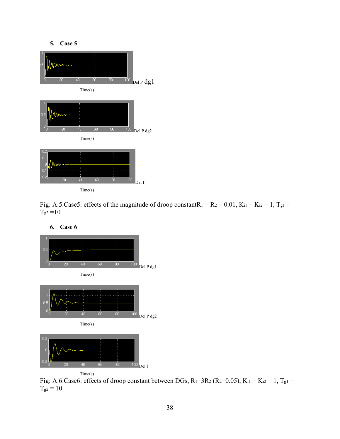

Fig: A.5.Case5: effects of the magnitude of droop constantR<sub>1</sub> = R<sub>2</sub> = 0.01, K<sub>i1</sub> = K<sub>i2</sub> = 1, T<sub>g1</sub> =  $T_{g2} = 10$ 



**6. Case 6** 

Fig: A.6.Case6: effects of droop constant between DGs,  $R_1=3R_2$  ( $R_2=0.05$ ),  $K_{i1} = K_{i2} = 1$ ,  $T_{g1} =$  $T_{g2} = 10$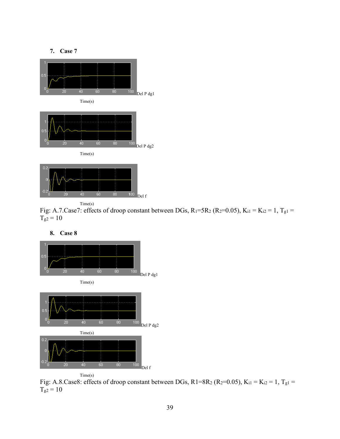

Time(s)

Fig: A.7.Case7: effects of droop constant between DGs,  $R_1=5R_2$  ( $R_2=0.05$ ),  $K_{i1} = K_{i2} = 1$ ,  $T_{g1} =$  $T_{g2} = 10$ 

 $\begin{array}{cc} 80 & 100 \\ \text{Del } \text{f} \end{array}$ 



**8. Case 8** 



Fig: A.8.Case8: effects of droop constant between DGs, R1=8R<sub>2</sub> (R<sub>2</sub>=0.05), K<sub>i1</sub> = K<sub>i2</sub> = 1, T<sub>g1</sub> =  $T_{g2}=10$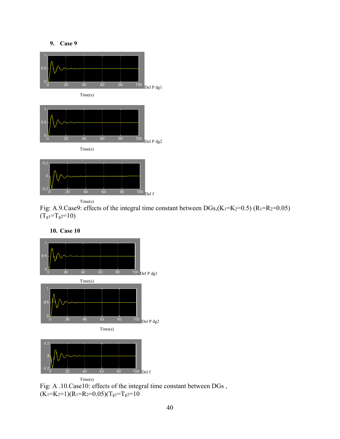

Time(s)

Fig: A.9.Case9: effects of the integral time constant between  $DGs$ <sub>(K<sub>1</sub>=K<sub>2</sub>=0.5) (R<sub>1</sub>=R<sub>2</sub>=0.05)</sub>  $(T<sub>g1</sub>=T<sub>g2</sub>=10)$ 

**10. Case 10** 



Fig: A .10.Case10: effects of the integral time constant between DGs ,  $(K_1=K_2=1)(R_1=R_2=0.05)(T_g=T_g=10)$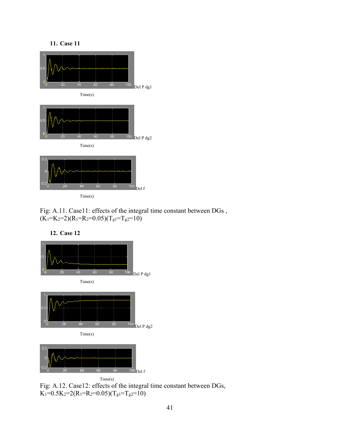







 Time(s) Fig: A.12. Case12: effects of the integral time constant between DGs,  $K_1=0.5K_2=2(R_1=R_2=0.05)(T_g1=T_g2=10)$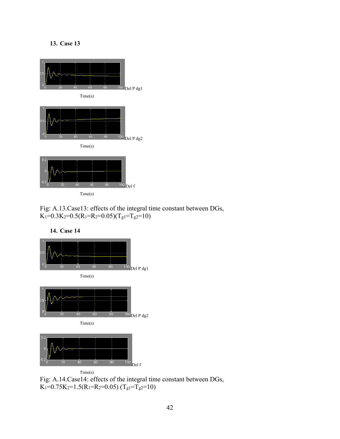

Fig: A.13.Case13: effects of the integral time constant between DGs,  $K_1=0.3K_2=0.5(R_1=R_2=0.05)(T_{g1}=T_{g2}=10)$ 



**14. Case 14** 

Fig: A.14.Case14: effects of the integral time constant between DGs,  $K_1=0.75K_2=1.5(R_1=R_2=0.05)$   $(T_g1=T_g2=10)$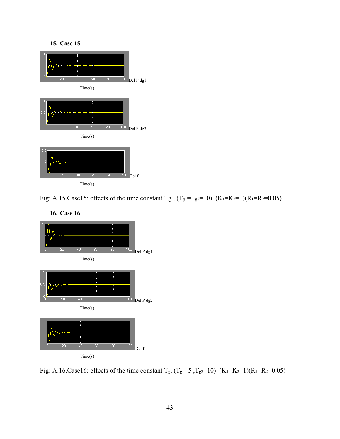

Fig: A.15.Case15: effects of the time constant Tg,  $(T_g1=T_g2=10)$   $(K_1=K_2=1)(R_1=R_2=0.05)$ 



**16. Case 16** 

Fig: A.16.Case16: effects of the time constant  $T_g$ ,  $(T_g1=5, T_g2=10)$   $(K_1=K_2=1)(R_1=R_2=0.05)$